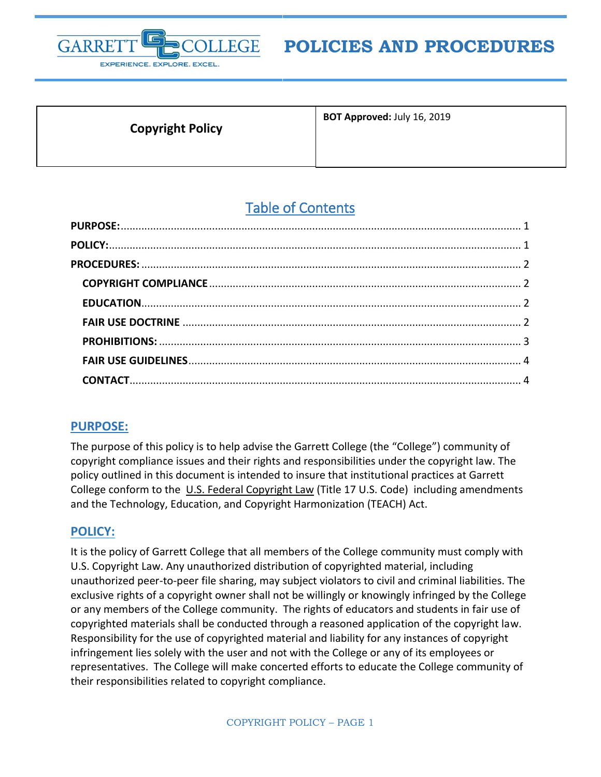

# **POLICIES AND PROCEDURES**

**Copyright Policy**

**BOT Approved:** July 16, 2019

# Table of Contents

### <span id="page-0-0"></span>**PURPOSE:**

The purpose of this policy is to help advise the Garrett College (the "College") community of copyright compliance issues and their rights and responsibilities under the copyright law. The policy outlined in this document is intended to insure that institutional practices at Garrett College conform to the U.S. Federal Copyright Law (Title 17 U.S. Code) including amendments and the Technology, Education, and Copyright Harmonization (TEACH) Act.

## <span id="page-0-1"></span>**POLICY:**

It is the policy of Garrett College that all members of the College community must comply with U.S. Copyright Law. Any unauthorized distribution of copyrighted material, including unauthorized peer-to-peer file sharing, may subject violators to civil and criminal liabilities. The exclusive rights of a copyright owner shall not be willingly or knowingly infringed by the College or any members of the College community. The rights of educators and students in fair use of copyrighted materials shall be conducted through a reasoned application of the copyright law. Responsibility for the use of copyrighted material and liability for any instances of copyright infringement lies solely with the user and not with the College or any of its employees or representatives. The College will make concerted efforts to educate the College community of their responsibilities related to copyright compliance.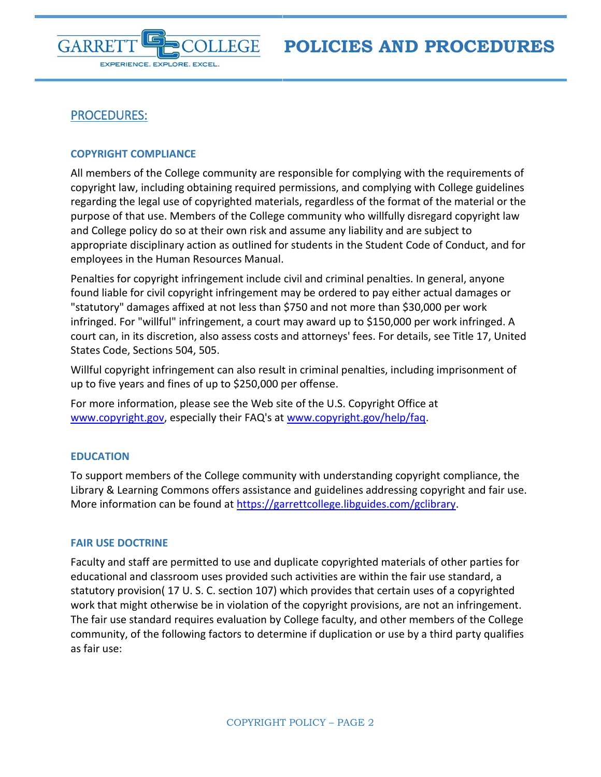

## <span id="page-1-0"></span>PROCEDURES:

#### <span id="page-1-1"></span>**COPYRIGHT COMPLIANCE**

All members of the College community are responsible for complying with the requirements of copyright law, including obtaining required permissions, and complying with College guidelines regarding the legal use of copyrighted materials, regardless of the format of the material or the purpose of that use. Members of the College community who willfully disregard copyright law and College policy do so at their own risk and assume any liability and are subject to appropriate disciplinary action as outlined for students in the Student Code of Conduct, and for employees in the Human Resources Manual.

Penalties for copyright infringement include civil and criminal penalties. In general, anyone found liable for civil copyright infringement may be ordered to pay either actual damages or "statutory" damages affixed at not less than \$750 and not more than \$30,000 per work infringed. For "willful" infringement, a court may award up to \$150,000 per work infringed. A court can, in its discretion, also assess costs and attorneys' fees. For details, see Title 17, United States Code, Sections 504, 505.

Willful copyright infringement can also result in criminal penalties, including imprisonment of up to five years and fines of up to \$250,000 per offense.

For more information, please see the Web site of the U.S. Copyright Office at [www.copyright.gov,](http://www.copyright.gov/) especially their FAQ's at [www.copyright.gov/help/faq.](http://www.copyright.gov/help/faq)

#### <span id="page-1-2"></span>**EDUCATION**

To support members of the College community with understanding copyright compliance, the Library & Learning Commons offers assistance and guidelines addressing copyright and fair use. More information can be found at [https://garrettcollege.libguides.com/gclibrary.](https://garrettcollege.libguides.com/gclibrary)

#### <span id="page-1-3"></span>**FAIR USE DOCTRINE**

Faculty and staff are permitted to use and duplicate copyrighted materials of other parties for educational and classroom uses provided such activities are within the fair use standard, a statutory provision( 17 U. S. C. section 107) which provides that certain uses of a copyrighted work that might otherwise be in violation of the copyright provisions, are not an infringement. The fair use standard requires evaluation by College faculty, and other members of the College community, of the following factors to determine if duplication or use by a third party qualifies as fair use: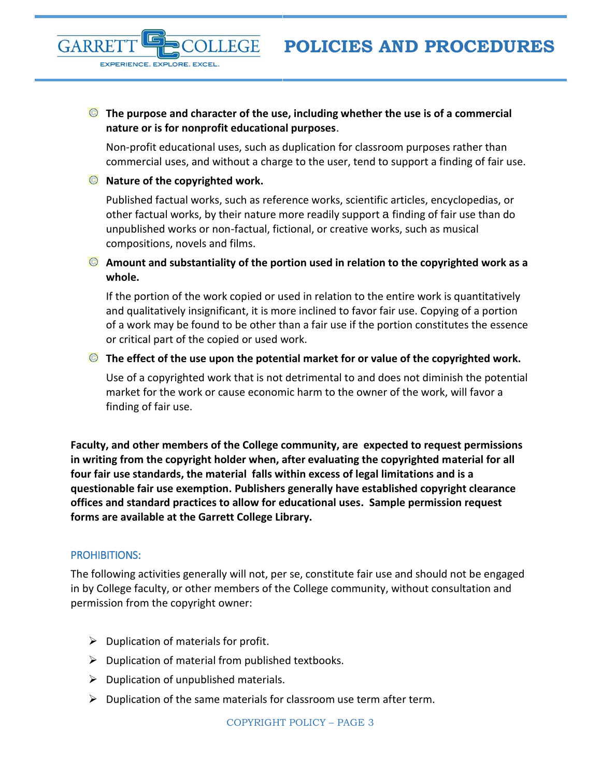#### **The purpose and character of the use, including whether the use is of a commercial nature or is for nonprofit educational purposes**.

Non-profit educational uses, such as duplication for classroom purposes rather than commercial uses, and without a charge to the user, tend to support a finding of fair use.

#### **Nature of the copyrighted work.**

EXPERIENCE. EXPLORE. EXCEL.

GARRF

Published factual works, such as reference works, scientific articles, encyclopedias, or other factual works, by their nature more readily support a finding of fair use than do unpublished works or non-factual, fictional, or creative works, such as musical compositions, novels and films.

### **Amount and substantiality of the portion used in relation to the copyrighted work as a whole.**

If the portion of the work copied or used in relation to the entire work is quantitatively and qualitatively insignificant, it is more inclined to favor fair use. Copying of a portion of a work may be found to be other than a fair use if the portion constitutes the essence or critical part of the copied or used work.

#### **The effect of the use upon the potential market for or value of the copyrighted work.**

Use of a copyrighted work that is not detrimental to and does not diminish the potential market for the work or cause economic harm to the owner of the work, will favor a finding of fair use.

**Faculty, and other members of the College community, are expected to request permissions in writing from the copyright holder when, after evaluating the copyrighted material for all four fair use standards, the material falls within excess of legal limitations and is a questionable fair use exemption. Publishers generally have established copyright clearance offices and standard practices to allow for educational uses. Sample permission request forms are available at the Garrett College Library.**

### <span id="page-2-0"></span>PROHIBITIONS:

The following activities generally will not, per se, constitute fair use and should not be engaged in by College faculty, or other members of the College community, without consultation and permission from the copyright owner:

- $\triangleright$  Duplication of materials for profit.
- $\triangleright$  Duplication of material from published textbooks.
- $\triangleright$  Duplication of unpublished materials.
- $\triangleright$  Duplication of the same materials for classroom use term after term.